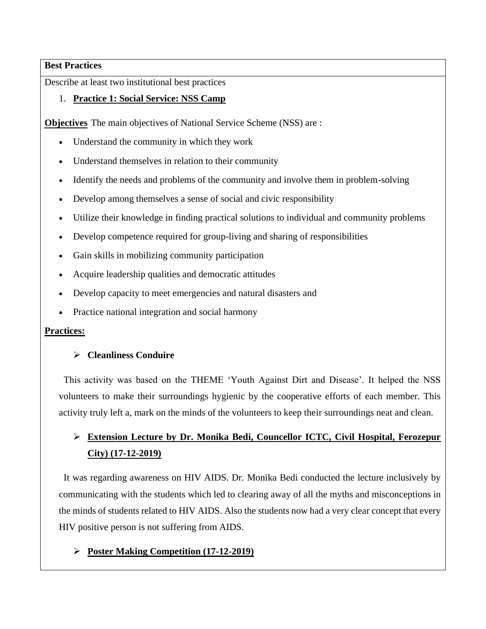#### **Best Practices**

Describe at least two institutional best practices

## 1. **Practice 1: Social Service: NSS Camp**

**Objectives** The main objectives of National Service Scheme (NSS) are :

- Understand the community in which they work
- Understand themselves in relation to their community
- Identify the needs and problems of the community and involve them in problem-solving
- Develop among themselves a sense of social and civic responsibility
- Utilize their knowledge in finding practical solutions to individual and community problems
- Develop competence required for group-living and sharing of responsibilities
- Gain skills in mobilizing community participation
- Acquire leadership qualities and democratic attitudes
- Develop capacity to meet emergencies and natural disasters and
- Practice national integration and social harmony

## **Practices:**

## ➢ **Cleanliness Conduire**

 This activity was based on the THEME 'Youth Against Dirt and Disease'. It helped the NSS volunteers to make their surroundings hygienic by the cooperative efforts of each member. This activity truly left a, mark on the minds of the volunteers to keep their surroundings neat and clean.

# ➢ **Extension Lecture by Dr. Monika Bedi, Councellor ICTC, Civil Hospital, Ferozepur City) (17-12-2019)**

 It was regarding awareness on HIV AIDS. Dr. Monika Bedi conducted the lecture inclusively by communicating with the students which led to clearing away of all the myths and misconceptions in the minds of students related to HIV AIDS. Also the students now had a very clear concept that every HIV positive person is not suffering from AIDS.

# ➢ **Poster Making Competition (17-12-2019)**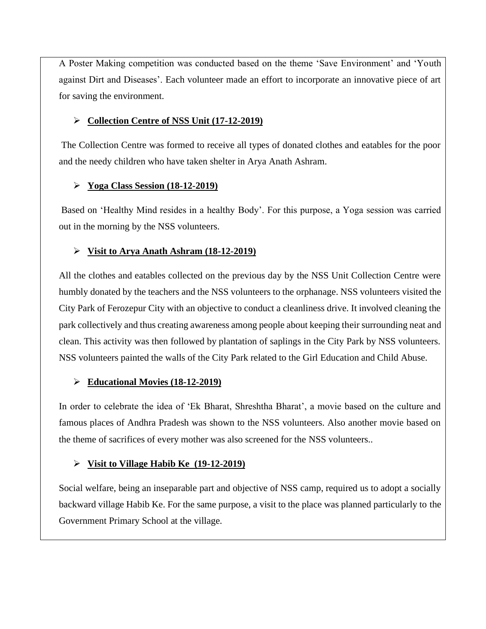A Poster Making competition was conducted based on the theme 'Save Environment' and 'Youth against Dirt and Diseases'. Each volunteer made an effort to incorporate an innovative piece of art for saving the environment.

## ➢ **Collection Centre of NSS Unit (17-12-2019)**

The Collection Centre was formed to receive all types of donated clothes and eatables for the poor and the needy children who have taken shelter in Arya Anath Ashram.

## ➢ **Yoga Class Session (18-12-2019)**

Based on 'Healthy Mind resides in a healthy Body'. For this purpose, a Yoga session was carried out in the morning by the NSS volunteers.

# ➢ **Visit to Arya Anath Ashram (18-12-2019)**

All the clothes and eatables collected on the previous day by the NSS Unit Collection Centre were humbly donated by the teachers and the NSS volunteers to the orphanage. NSS volunteers visited the City Park of Ferozepur City with an objective to conduct a cleanliness drive. It involved cleaning the park collectively and thus creating awareness among people about keeping their surrounding neat and clean. This activity was then followed by plantation of saplings in the City Park by NSS volunteers. NSS volunteers painted the walls of the City Park related to the Girl Education and Child Abuse.

# ➢ **Educational Movies (18-12-2019)**

In order to celebrate the idea of 'Ek Bharat, Shreshtha Bharat', a movie based on the culture and famous places of Andhra Pradesh was shown to the NSS volunteers. Also another movie based on the theme of sacrifices of every mother was also screened for the NSS volunteers..

# ➢ **Visit to Village Habib Ke (19-12-2019)**

Social welfare, being an inseparable part and objective of NSS camp, required us to adopt a socially backward village Habib Ke. For the same purpose, a visit to the place was planned particularly to the Government Primary School at the village.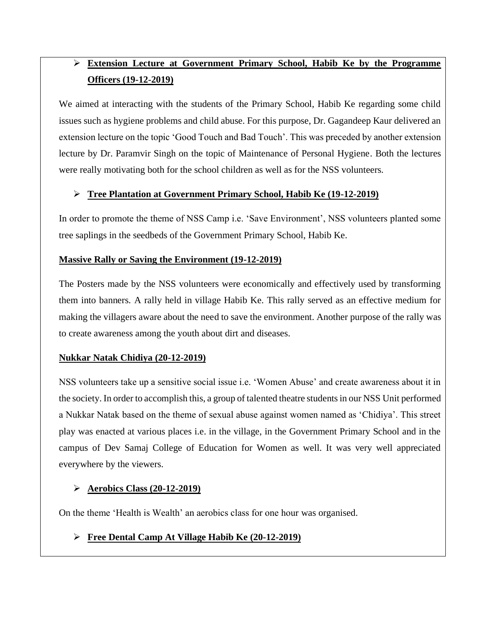# ➢ **Extension Lecture at Government Primary School, Habib Ke by the Programme Officers (19-12-2019)**

We aimed at interacting with the students of the Primary School, Habib Ke regarding some child issues such as hygiene problems and child abuse. For this purpose, Dr. Gagandeep Kaur delivered an extension lecture on the topic 'Good Touch and Bad Touch'. This was preceded by another extension lecture by Dr. Paramvir Singh on the topic of Maintenance of Personal Hygiene. Both the lectures were really motivating both for the school children as well as for the NSS volunteers.

## ➢ **Tree Plantation at Government Primary School, Habib Ke (19-12-2019)**

In order to promote the theme of NSS Camp i.e. 'Save Environment', NSS volunteers planted some tree saplings in the seedbeds of the Government Primary School, Habib Ke.

## **Massive Rally or Saving the Environment (19-12-2019)**

The Posters made by the NSS volunteers were economically and effectively used by transforming them into banners. A rally held in village Habib Ke. This rally served as an effective medium for making the villagers aware about the need to save the environment. Another purpose of the rally was to create awareness among the youth about dirt and diseases.

## **Nukkar Natak Chidiya (20-12-2019)**

NSS volunteers take up a sensitive social issue i.e. 'Women Abuse' and create awareness about it in the society. In order to accomplish this, a group of talented theatre students in our NSS Unit performed a Nukkar Natak based on the theme of sexual abuse against women named as 'Chidiya'. This street play was enacted at various places i.e. in the village, in the Government Primary School and in the campus of Dev Samaj College of Education for Women as well. It was very well appreciated everywhere by the viewers.

## ➢ **Aerobics Class (20-12-2019)**

On the theme 'Health is Wealth' an aerobics class for one hour was organised.

# ➢ **Free Dental Camp At Village Habib Ke (20-12-2019)**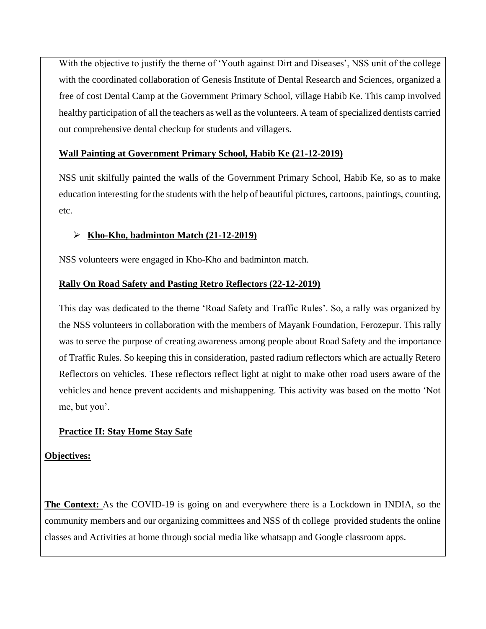With the objective to justify the theme of 'Youth against Dirt and Diseases', NSS unit of the college with the coordinated collaboration of Genesis Institute of Dental Research and Sciences, organized a free of cost Dental Camp at the Government Primary School, village Habib Ke. This camp involved healthy participation of all the teachers as well as the volunteers. A team of specialized dentists carried out comprehensive dental checkup for students and villagers.

#### **Wall Painting at Government Primary School, Habib Ke (21-12-2019)**

NSS unit skilfully painted the walls of the Government Primary School, Habib Ke, so as to make education interesting for the students with the help of beautiful pictures, cartoons, paintings, counting, etc.

## ➢ **Kho-Kho, badminton Match (21-12-2019)**

NSS volunteers were engaged in Kho-Kho and badminton match.

## **Rally On Road Safety and Pasting Retro Reflectors (22-12-2019)**

This day was dedicated to the theme 'Road Safety and Traffic Rules'. So, a rally was organized by the NSS volunteers in collaboration with the members of Mayank Foundation, Ferozepur. This rally was to serve the purpose of creating awareness among people about Road Safety and the importance of Traffic Rules. So keeping this in consideration, pasted radium reflectors which are actually Retero Reflectors on vehicles. These reflectors reflect light at night to make other road users aware of the vehicles and hence prevent accidents and mishappening. This activity was based on the motto 'Not me, but you'.

## **Practice II: Stay Home Stay Safe**

#### **Objectives:**

**The Context:** As the COVID-19 is going on and everywhere there is a Lockdown in INDIA, so the community members and our organizing committees and NSS of th college provided students the online classes and Activities at home through social media like whatsapp and Google classroom apps.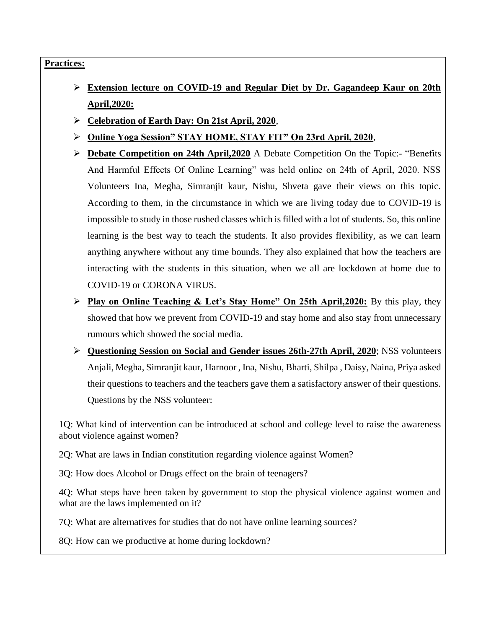#### **Practices:**

- ➢ **Extension lecture on COVID-19 and Regular Diet by Dr. Gagandeep Kaur on 20th April,2020:**
- ➢ **Celebration of Earth Day: On 21st April, 2020**,
- ➢ **Online Yoga Session" STAY HOME, STAY FIT" On 23rd April, 2020**,
- ➢ **Debate Competition on 24th April,2020** A Debate Competition On the Topic:- "Benefits And Harmful Effects Of Online Learning" was held online on 24th of April, 2020. NSS Volunteers Ina, Megha, Simranjit kaur, Nishu, Shveta gave their views on this topic. According to them, in the circumstance in which we are living today due to COVID-19 is impossible to study in those rushed classes which is filled with a lot of students. So, this online learning is the best way to teach the students. It also provides flexibility, as we can learn anything anywhere without any time bounds. They also explained that how the teachers are interacting with the students in this situation, when we all are lockdown at home due to COVID-19 or CORONA VIRUS.
- ➢ **Play on Online Teaching & Let's Stay Home" On 25th April,2020:** By this play, they showed that how we prevent from COVID-19 and stay home and also stay from unnecessary rumours which showed the social media.
- ➢ **Questioning Session on Social and Gender issues 26th-27th April, 2020**; NSS volunteers Anjali, Megha, Simranjit kaur, Harnoor , Ina, Nishu, Bharti, Shilpa , Daisy, Naina, Priya asked their questions to teachers and the teachers gave them a satisfactory answer of their questions. Questions by the NSS volunteer:

1Q: What kind of intervention can be introduced at school and college level to raise the awareness about violence against women?

2Q: What are laws in Indian constitution regarding violence against Women?

3Q: How does Alcohol or Drugs effect on the brain of teenagers?

4Q: What steps have been taken by government to stop the physical violence against women and what are the laws implemented on it?

7Q: What are alternatives for studies that do not have online learning sources?

8Q: How can we productive at home during lockdown?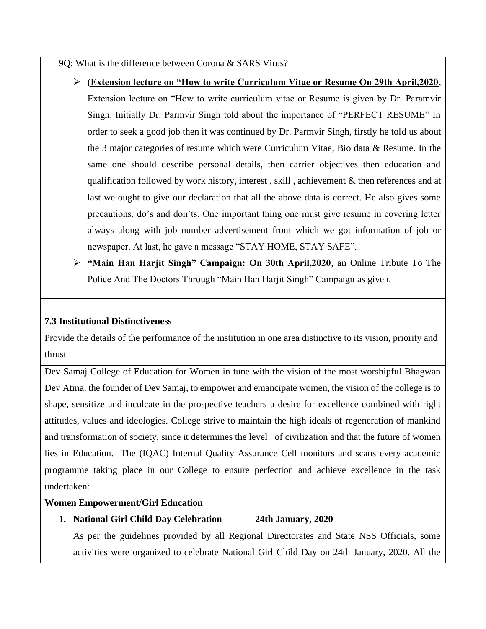9Q: What is the difference between Corona & SARS Virus?

➢ (**Extension lecture on "How to write Curriculum Vitae or Resume On 29th April,2020**,

Extension lecture on "How to write curriculum vitae or Resume is given by Dr. Paramvir Singh. Initially Dr. Parmvir Singh told about the importance of "PERFECT RESUME" In order to seek a good job then it was continued by Dr. Parmvir Singh, firstly he told us about the 3 major categories of resume which were Curriculum Vitae, Bio data & Resume. In the same one should describe personal details, then carrier objectives then education and qualification followed by work history, interest, skill, achievement  $\&$  then references and at last we ought to give our declaration that all the above data is correct. He also gives some precautions, do's and don'ts. One important thing one must give resume in covering letter always along with job number advertisement from which we got information of job or newspaper. At last, he gave a message "STAY HOME, STAY SAFE".

➢ **"Main Han Harjit Singh" Campaign: On 30th April,2020**, an Online Tribute To The Police And The Doctors Through "Main Han Harjit Singh" Campaign as given.

#### **7.3 Institutional Distinctiveness**

Provide the details of the performance of the institution in one area distinctive to its vision, priority and thrust

Dev Samaj College of Education for Women in tune with the vision of the most worshipful Bhagwan Dev Atma, the founder of Dev Samaj, to empower and emancipate women, the vision of the college is to shape, sensitize and inculcate in the prospective teachers a desire for excellence combined with right attitudes, values and ideologies. College strive to maintain the high ideals of regeneration of mankind and transformation of society, since it determines the level of civilization and that the future of women lies in Education. The (IQAC) Internal Quality Assurance Cell monitors and scans every academic programme taking place in our College to ensure perfection and achieve excellence in the task undertaken:

#### **Women Empowerment/Girl Education**

#### **1. National Girl Child Day Celebration 24th January, 2020**

As per the guidelines provided by all Regional Directorates and State NSS Officials, some activities were organized to celebrate National Girl Child Day on 24th January, 2020. All the